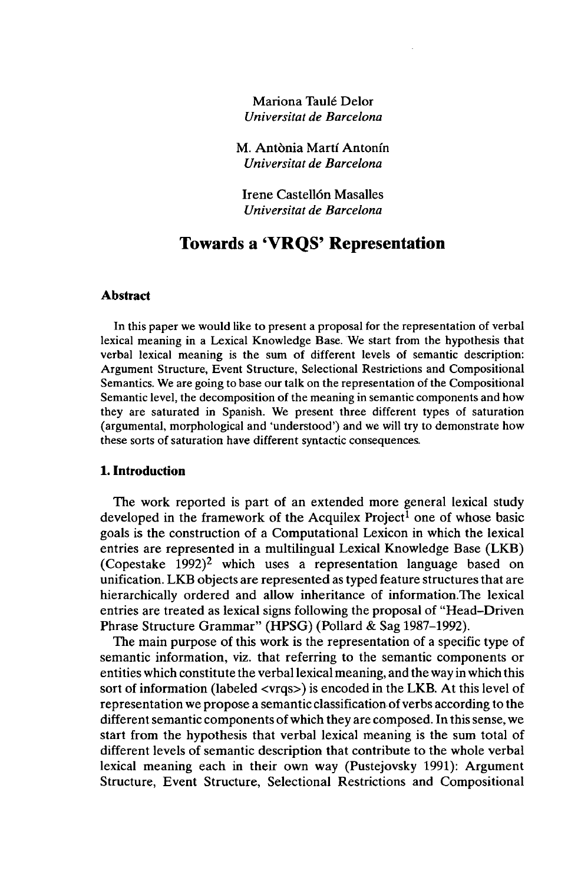Mariona Taulé Delor *Universität de Barcelona*

M. Antönia Marti Antonfn *Universität de Barcelona*

Irene Castellön Masalles *Universität de Barcelona*

# **Towards a 'VRQS' Representation**

#### **Abstract**

In this paper we would like to present a proposal for the representation of verbal lexical meaning in a Lexical Knowledge Base. We start from the hypothesis that verbal lexical meaning is the sum of different levels of semantic description: Argument Structure, Event Structure, Selectional Restrictions and Compositional Semantics. We are going to base our talk on the representation of the Compositional Semantic level, the decomposition of the meaning in semantic components and how they are saturated in Spanish. We present three different types of saturation (argumentai, morphological and 'understood') and we will try to demonstrate how these sorts of saturation have different syntactic consequences.

### **1. Introduction**

The work reported is part of an extended more general lexical study developed in the framework of the Acquilex Project<sup>1</sup> one of whose basic goals is the construction of a Computational Lexicon in which the lexical entries are represented in a multilingual Lexical Knowledge Base (LKB) (Copestake  $1992$ )<sup>2</sup> which uses a representation language based on unification. LKB objects are represented as typed feature structures that are hierarchically ordered and allow inheritance of information.The lexical entries are treated as lexical signs following the proposal of "Head-Driven Phrase Structure Grammar" (HPSG) (Pollard & Sag 1987-1992).

The main purpose of this work is the representation of a specific type of semantic information, viz. that referring to the semantic components or entities which constitute the verballexical meaning, and the way in which this sort of information (labeled <vrqs>) is encoded in the LKB. At this level of representation we propose a semantic classification of verbs according to the different semantic components of which they are composed. In this sense, we start from the hypothesis that verbal lexical meaning is the sum total of different levels of semantic description that contribute to the whole verbal lexical meaning each in their own way (Pustejovsky 1991): Argument Structure, Event Structure, Selectional Restrictions and Compositional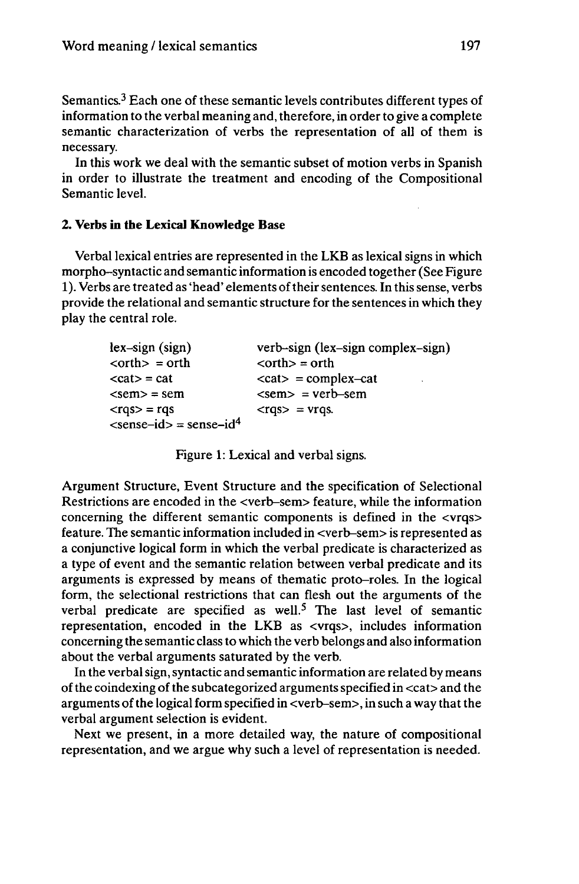Semantics.<sup>3</sup> Each one of these semantic levels contributes different types of information to the verbal meaning and, therefore, in order to give a complete semantic characterization of verbs the representation of all of them is necessary.

In this work we deal with the semantic subset of motion verbs in Spanish in order to illustrate the treatment and encoding of the Compositional Semantic level.

### **2. Verbs in the Lexical Knowledge Base**

Verbal lexical entries are represented in the LKB as lexical signs in which morpho-syntactic and semantic information is encoded together (See Figure 1). Verbs are treated as 'head' elements of their sentences. In this sense, verbs provide the relational and semantic structure for the sentences in which they play the central role.

| verb-sign (lex-sign complex-sign)                           |
|-------------------------------------------------------------|
| $<$ orth $>$ = orth                                         |
| $\langle cat \rangle$ = complex-cat<br>$\ddot{\phantom{0}}$ |
| $\epsilon$ = verb-sem                                       |
| $<$ rgs> = $v$ rgs.                                         |
|                                                             |
|                                                             |

Figure 1: Lexical and verbal signs.

Argument Structure, Event Structure and the specification of Selectional Restrictions are encoded in the <verb-sem> feature, while the information concerning the different semantic components is defined in the <vrqs> feature. The semantic information included in <verb-sem> is represented as a conjunctive logical form in which the verbal predicate is characterized as a type of event and the semantic relation between verbal predicate and its arguments is expressed by means of thematic proto-roles. In the logical form, the selectional restrictions that can flesh out the arguments of the verbal predicate are specified as well.<sup>5</sup> The last level of semantic representation, encoded in the LKB as <vrqs>, includes information concerning the semantic class to which the verb belongs and also information about the verbal arguments saturated by the verb.

In the verbalsign,syntactic and semantic information are related by means ofthe coindexing ofthe subcategorized arguments specified in <cat> and the arguments of the logical form specified in <verb-sem>, in such a way that the verbal argument selection is evident.

Next we present, in a more detailed way, the nature of compositional representation, and we argue why such a level of representation is needed.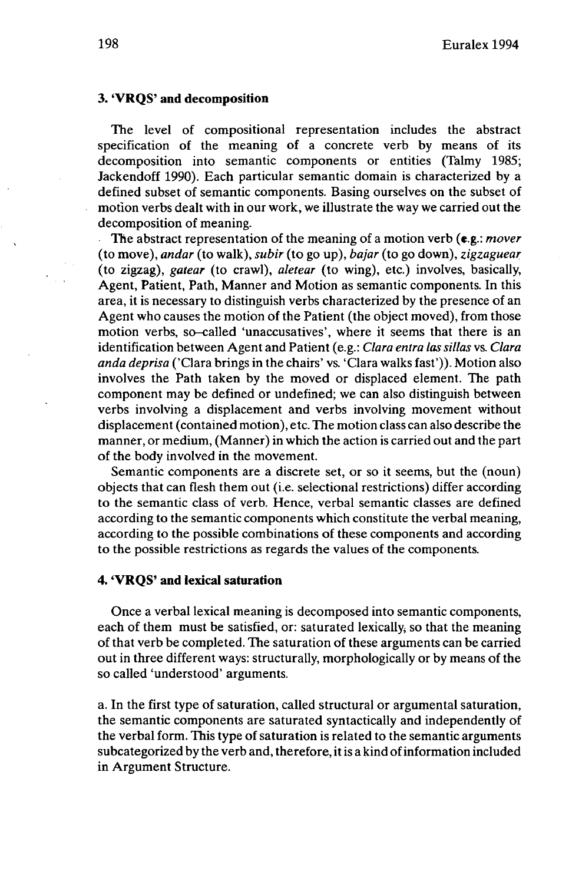#### **3. 'VRQS' and decomposition**

The level of compositional representation includes the abstract specification of the meaning of a concrete verb by means of its decomposition into semantic components or entities (Talmy 1985; Jackendoff 1990). Each particular semantic domain is characterized by a defined subset of semantic components. Basing ourselves on the subset of motion verbs dealt with in our work, we illustrate the way we carried out the decomposition of meaning.

The abstract representation of the meaning of a motion verb (e.g.: *mover* (to move), *andar* (to walk), *subir* (to go up), *bajar* (to go down), *zigzaguear* (to zigzag), *gatear* (to crawl), *aletear* (to wing), etc.) involves, basically, Agent, Patient, Path, Manner and Motion as semantic components. In this area, it is necessary to distinguish verbs characterized by the presence of an Agent who causes the motion of the Patient (the object moved), from those motion verbs, so-called 'unaccusatives', where it seems that there is an identification between Agent and Patient (e.g.: *Clara entra las sillas* vs. *Clara anda deprisa* ('Clara brings in the chairs' vs. 'Clara walks fast')). Motion also involves the Path taken by the moved or displaced element. The path component may be defined or undefined; we can also distinguish between verbs involving a displacement and verbs involving movement without displacement (contained motion), etc. The motion class can also describe the manner, or medium, (Manner) in which the action is carried out and the part of the body involved in the movement.

Semantic components are a discrete set, or so it seems, but the (noun) objects that can flesh them out (i.e. selectional restrictions) differ according to the semantic class of verb. Hence, verbal semantic classes are defined according to the semantic components which constitute the verbal meaning, according to the possible combinations of these components and according to the possible restrictions as regards the values of the components.

#### **4. 'VRQS' and lexical saturation**

Once a verbal lexical meaning is decomposed into semantic components, each of them must be satisfied, or: saturated lexically, so that the meaning of that verb be completed. The saturation of these arguments can be carried out in three different ways: structurally, morphologically or by means of the so called 'understood' arguments.

a. In the first type of saturation, called structural or argumentai saturation, the semantic components are saturated syntactically and independently of the verbal form. This type of saturation is related to the semantic arguments subcategorized by the verb and, therefore, it is a kind of information included in Argument Structure.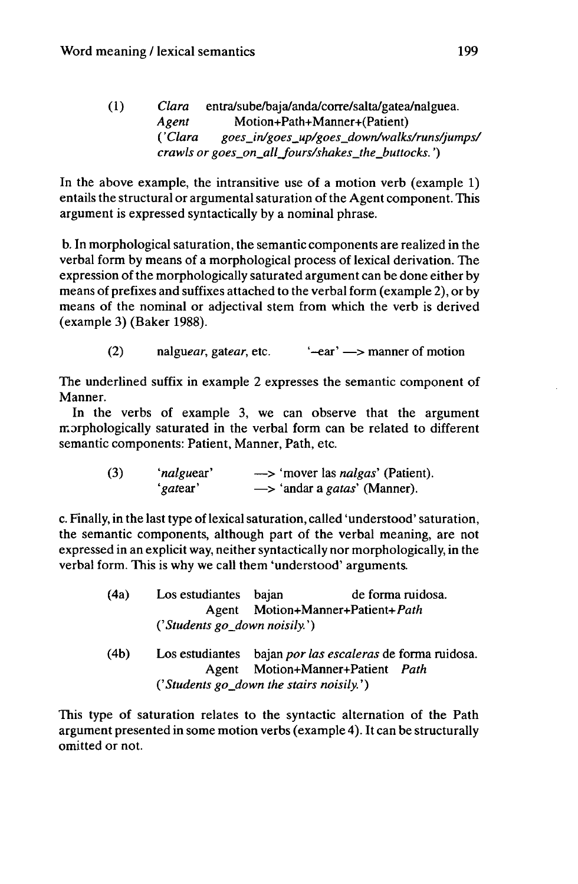(1) *Clara* entra/sube/baja/anda/corre/salta/gatea/nalguea. *Agent* Motion+Path+Manner+(Patient) ( *'Clara goes\_in/goes\_up/goes\_down/walks/runs/jumps/ crawls or goes\_on\_all\_fours/shakes\_the\_buttocks. ')*

In the above example, the intransitive use of a motion verb (example 1) entails the structural or argumental saturation of the Agent component. This argument is expressed syntactically by a nominal phrase.

b. In morphological saturation, the semantic components are realized in the verbal form by means of a morphological process of lexical derivation. The expression of the morphologically saturated argument can be done either by means of prefixes and suffixes attached to the verbal form (example 2), or by means of the nominal or adjectival stem from which the verb is derived (example 3) (Baker 1988).

(2) nalguear, gatear, etc.  $\leftarrow$  ar'  $\rightarrow$  manner of motion

The underlined suffix in example 2 expresses the semantic component of Manner.

In the verbs of example 3, we can observe that the argument morphologically saturated in the verbal form can be related to different semantic components: Patient, Manner, Path, etc.

| (3) | 'nalguear' | -> 'mover las <i>nalgas</i> ' (Patient).       |
|-----|------------|------------------------------------------------|
|     | 'gatear'   | $\rightarrow$ 'andar a <i>gatas'</i> (Manner). |

c. Finally, in the last type of lexical saturation, called 'understood' saturation, the semantic components, although part of the verbal meaning, are not expressed in an explicit way, neither syntactically nor morphologically, in the verbal form. This is why we call them 'understood' arguments.

| (4a) | Los estudiantes bajan         |                                  | de forma ruidosa.                                         |  |  |  |
|------|-------------------------------|----------------------------------|-----------------------------------------------------------|--|--|--|
|      |                               | Agent Motion+Manner+Patient+Path |                                                           |  |  |  |
|      | ('Students go_down noisily.') |                                  |                                                           |  |  |  |
| (4b) |                               |                                  | Los estudiantes bajan por las escaleras de forma ruidosa. |  |  |  |
|      | Agent                         |                                  | Motion+Manner+Patient Path                                |  |  |  |

*('Students go\_down the stairs noisily.')*

This type of saturation relates to the syntactic alternation of the Path argument presented in some motion verbs (example 4). It can be structurally omitted or not.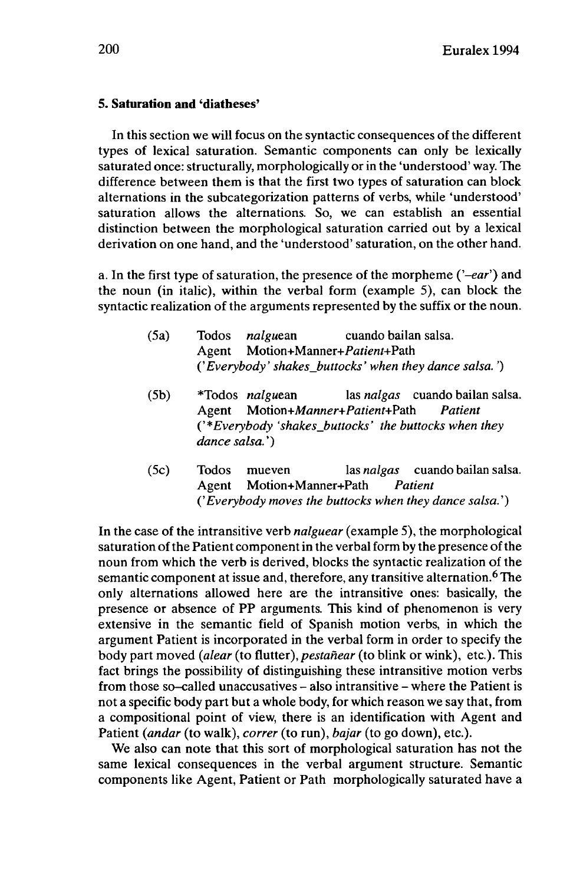#### **5. Saturation and 'diatheses'**

In this section we will focus on the syntactic consequences of the different types of lexical saturation. Semantic components can only be lexically saturated once: structurally, morphologically or in the 'understood' way. The difference between them is that the first two types of saturation can block alternations in the subcategorization patterns of verbs, while 'understood' saturation allows the alternations. So, we can establish an essential distinction between the morphological saturation carried out by a lexical derivation on one hand, and the 'understood' saturation, on the other hand.

a. In the first type of saturation, the presence of the morpheme *('-ear')* and the noun (in italic), within the verbal form (example 5), can block the syntactic realization of the arguments represented by the suffix or the noun.

- (5a) Todos *nalguem* cuando bailan salsa. Agent Motion+Manner+Patient+Path ('*Everybody' shakesJbuttocks' when they dance salsa. ')*
- (5b) \*Todos *nalguean* las *nalgas* cuando bailan salsa. Agent *Motion+Manner+Patient+Path Patient* ('\**Everybody 'shakesJbuttocks' the buttocks when they dance salsa.')*
- (5c) Todos mueven las *nalgas* cuando bailan salsa. Agent Motion+Manner+Path *Patient {'Everybody moves the buttocks when they dance salsa.')*

In the case of the intransitive verb *nalguear* (example 5), the morphological saturation of the Patient component in the verbal form by the presence of the noun from which the verb is derived, blocks the syntactic realization of the semantic component at issue and, therefore, any transitive alternation.<sup>6</sup> The only alternations allowed here are the intransitive ones: basically, the presence or absence of PP arguments. This kind of phenomenon is very extensive in the semantic field of Spanish motion verbs, in which the argument Patient is incorporated in the verbal form in order to specify the body part moved *(alear* (to flutter), *pestahear* (to blink or wink), etc.). This fact brings the possibility of distinguishing these intransitive motion verbs from those so-called unaccusatives - also intransitive - where the Patient is not a specific body part but a whole body, for which reason we say that, from a compositional point of view, there is an identification with Agent and Patient *(andar* (to walk), *correr* (to run), *bajar* (to go down), etc.).

We also can note that this sort of morphological saturation has not the same lexical consequences in the verbal argument structure. Semantic components like Agent, Patient or Path morphologically saturated have a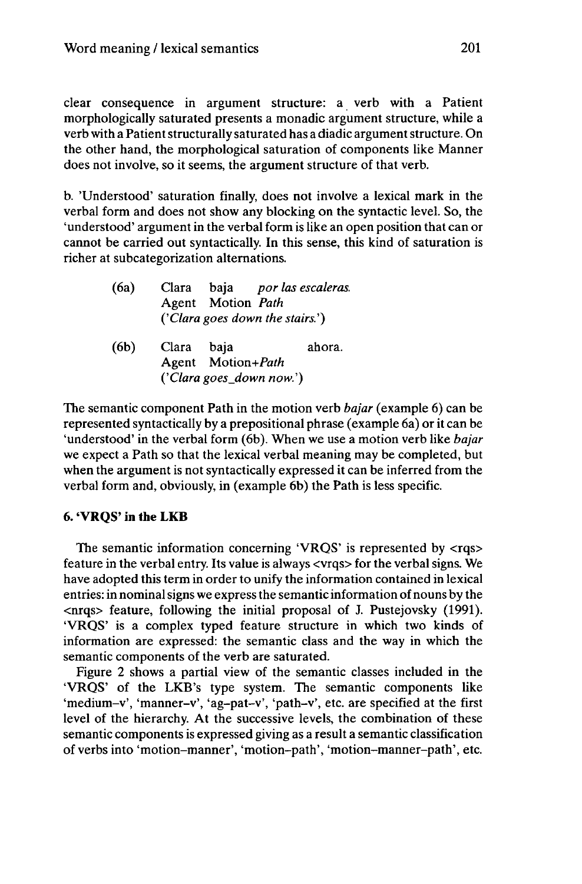clear consequence in argument structure: a verb with a Patient morphologically saturated presents a monadic argument structure, while a verb with a Patient structurally saturated has a diadic argument structure. On the other hand, the morphological saturation of components like Manner does not involve, so it seems, the argument structure of that verb.

b. 'Understood' saturation finally, does not involve a lexical mark in the verbal form and does not show any blocking on the syntactic level. So, the 'understood' argument in the verbal form is like an open position that can or cannot be carried out syntactically. In this sense, this kind of saturation is richer at subcategorization alternations.

| (6a) |            | Clara baja por las escaleras.<br>Agent Motion Path<br>('Clara goes down the stairs.') |  |        |
|------|------------|---------------------------------------------------------------------------------------|--|--------|
| (6b) | Clara baja | Agent Motion+Path<br>('Clara goes_down now.')                                         |  | ahora. |

The semantic component Path in the motion verb *bajar* (example 6) can be represented syntactically by a prepositional phrase (example 6a) or it can be 'understood' in the verbal form (6b). When we use a motion verb like *bajar* we expect a Path so that the lexical verbal meaning may be completed, but when the argument is not syntactically expressed it can be inferred from the verbal form and, obviously, in (example 6b) the Path is less specific.

## **6. 'VRQS' in the LKB**

The semantic information concerning 'VRQS' is represented by  $\langle \text{rgs} \rangle$ feature in the verbal entry. Its value is always <vrqs> for the verbal signs. We have adopted this term in order to unify the information contained in lexical entries: in nominal signs we express the semantic information of nouns by the <nrqs> feature, following the initial proposal of J. Pustejovsky (1991). 'VRQS' is a complex typed feature structure in which two kinds of information are expressed: the semantic class and the way in which the semantic components of the verb are saturated.

Figure 2 shows a partial view of the semantic classes included in the 'VRQS' of the LKB's type system. The semantic components like 'medium-v', 'manner-v', 'ag-pat-v', 'path-v', etc. are specified at the first level of the hierarchy. At the successive levels, the combination of these semantic components is expressed giving as a result a semantic classification of verbs into 'motion-manner', 'motion-path', 'motion-manner-path', etc.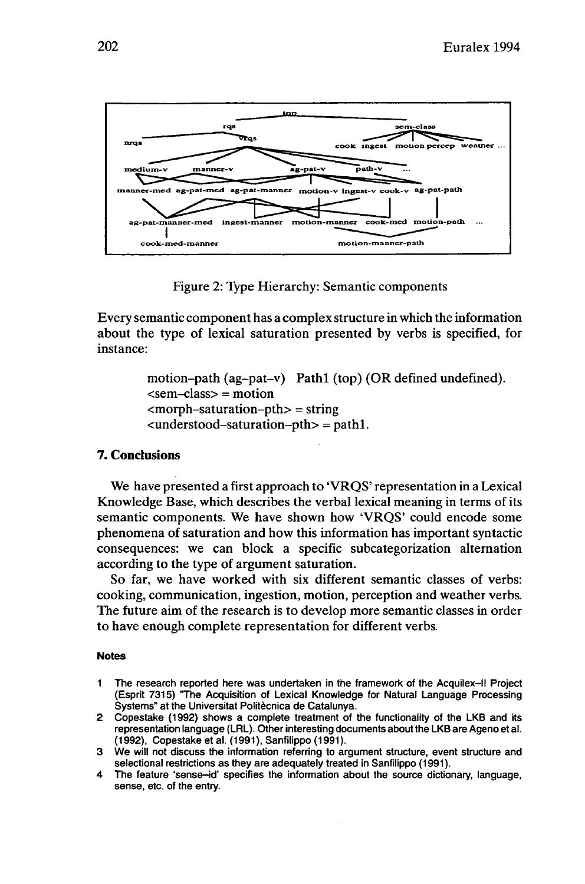

Figure 2: Type Hierarchy: Semantic components

Every semantic component has a complex structure in which the information about the type of lexical saturation presented by verbs is specified, for instance:

> motion-path (ag-pat-v) Pathl (top) (OR defined undefined).  $\le$ sem-class $>$  = motion  $<sub>ex</sub>$   $<sub>ex</sub>$   $<sub>ex</sub>$   $<sub>ex</sub>$   $<sub>ex</sub>$   $<sub>ex</sub>$   $<sub>ex</sub>$   $<sub>ex</sub>$   $<sub>ex</sub>$   $<sub>ex</sub>$   $<sub>ex</sub>$   $<sub>ex</sub>$   $<sub>ex</sub>$   $<sub>ex</sub>$   $<sub>ex</sub>$   $<sub>ex</sub>$   $<sub>ex</sub>$   $<sub>ex</sub>$   $<sub>ex</sub>$   $<sub>ex</sub>$   $<sub>ex</sub>$   $<sub>ex</sub>$  </sub></sub></sub></sub></sub></sub></sub></sub></sub></sub></sub></sub></sub></sub></sub></sub></sub></sub></sub></sub></sub></sub>  $\alpha$  -valued-saturation-pth  $\alpha$  = path 1.

## **7. Conclusions**

We have presented a first approach to 'VRQS' representation in a Lexical Knowledge Base, which describes the verbal lexical meaning in terms of its semantic components. We have shown how 'VRQS' could encode some phenomena of saturation and how this information has important syntactic consequences: we can block a specific subcategorization alternation according to the type of argument saturation.

So far, we have worked with six different semantic classes of verbs: cooking, communication, ingestion, motion, perception and weather verbs. The future aim of the research is to develop more semantic classes in order to have enough complete representation for different verbs.

#### **Notes**

- **<sup>1</sup>** The research reported here was undertaken in the framework of the Acquilex-ll Project (Esprit 7315) 'The Acquisition of Lexical Knowledge for Natural Language Processing Systems" at the Universität Politècnica de Catalunya.
- 2 Copestake (1992) shows a complete treatment of the functionality of the LKB and its representation language (LRL). Other interesting documents about the LKB are Ageno et al. (1992), Copestake et al. (1991), Sanfilippo (1991).
- 3 We will not discuss the information referring to argument structure, event structure and selectional restrictions as they are adequately treated in Sanfilippo (1991).
- 4 The feature 'sense-id' specifies the information about the source dictionary, language, sense, etc. of the entry.